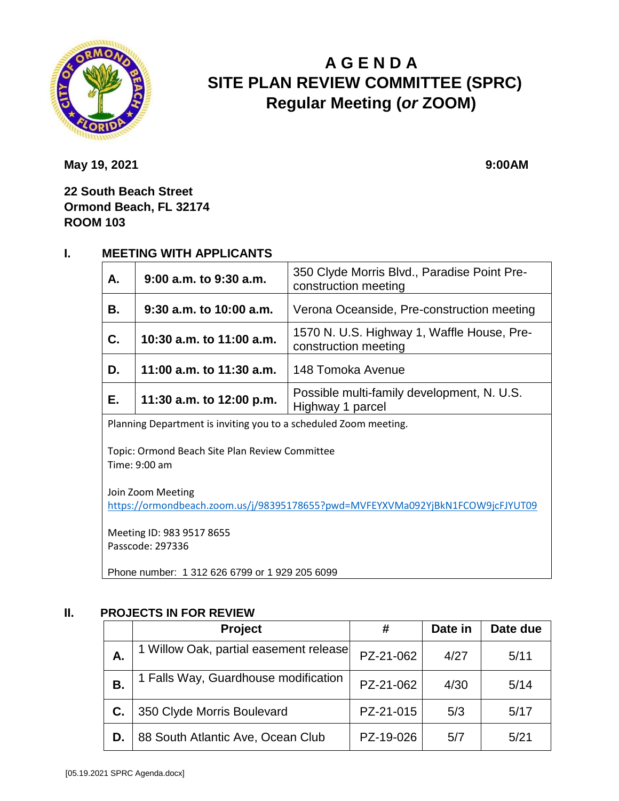

# **A G E N D A SITE PLAN REVIEW COMMITTEE (SPRC) Regular Meeting (***or* **ZOOM)**

**May 19, 2021** 9:00AM

**22 South Beach Street Ormond Beach, FL 32174 ROOM 103**

### **I. MEETING WITH APPLICANTS**

| A.        | 9:00 a.m. to 9:30 a.m.   | 350 Clyde Morris Blvd., Paradise Point Pre-<br>construction meeting |  |
|-----------|--------------------------|---------------------------------------------------------------------|--|
| <b>B.</b> | 9:30 a.m. to 10:00 a.m.  | Verona Oceanside, Pre-construction meeting                          |  |
| C.        | 10:30 a.m. to 11:00 a.m. | 1570 N. U.S. Highway 1, Waffle House, Pre-<br>construction meeting  |  |
| D.        | 11:00 a.m. to 11:30 a.m. | 148 Tomoka Avenue                                                   |  |
| E.        | 11:30 a.m. to 12:00 p.m. | Possible multi-family development, N. U.S.<br>Highway 1 parcel      |  |

Planning Department is inviting you to a scheduled Zoom meeting.

Topic: Ormond Beach Site Plan Review Committee Time: 9:00 am

Join Zoom Meeting <https://ormondbeach.zoom.us/j/98395178655?pwd=MVFEYXVMa092YjBkN1FCOW9jcFJYUT09>

Meeting ID: 983 9517 8655 Passcode: 297336

Phone number: 1 312 626 6799 or 1 929 205 6099

#### **II. PROJECTS IN FOR REVIEW**

|    | <b>Project</b>                         | #         | Date in | Date due |
|----|----------------------------------------|-----------|---------|----------|
| А. | 1 Willow Oak, partial easement release | PZ-21-062 | 4/27    | 5/11     |
| В. | 1 Falls Way, Guardhouse modification   | PZ-21-062 | 4/30    | 5/14     |
| C. | 350 Clyde Morris Boulevard             | PZ-21-015 | 5/3     | 5/17     |
| D. | 88 South Atlantic Ave, Ocean Club      | PZ-19-026 | 5/7     | 5/21     |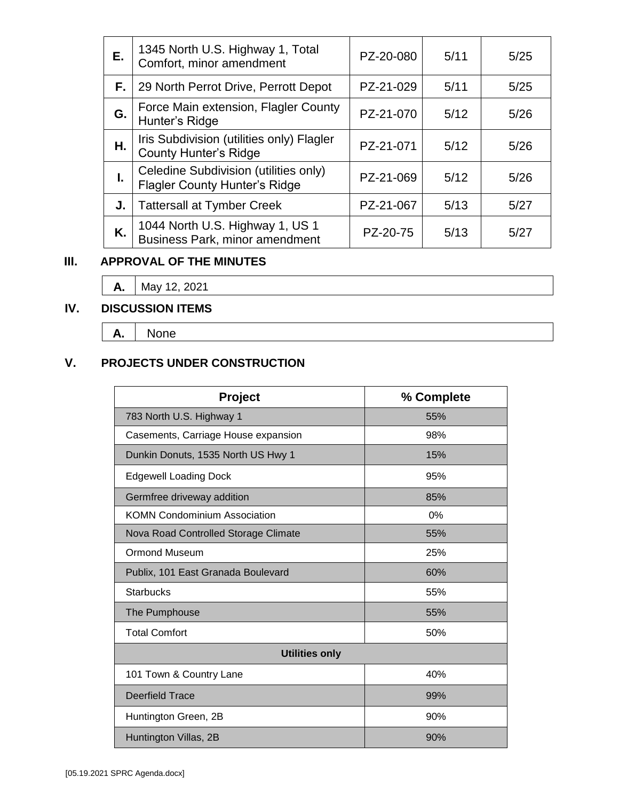| Е. | 1345 North U.S. Highway 1, Total<br>Comfort, minor amendment                  | PZ-20-080 | 5/11 | 5/25 |
|----|-------------------------------------------------------------------------------|-----------|------|------|
| F. | 29 North Perrot Drive, Perrott Depot                                          | PZ-21-029 | 5/11 | 5/25 |
| G. | Force Main extension, Flagler County<br>Hunter's Ridge                        | PZ-21-070 | 5/12 | 5/26 |
| Η. | Iris Subdivision (utilities only) Flagler<br><b>County Hunter's Ridge</b>     | PZ-21-071 | 5/12 | 5/26 |
| I. | Celedine Subdivision (utilities only)<br><b>Flagler County Hunter's Ridge</b> | PZ-21-069 | 5/12 | 5/26 |
| J. | <b>Tattersall at Tymber Creek</b>                                             | PZ-21-067 | 5/13 | 5/27 |
| K. | 1044 North U.S. Highway 1, US 1<br>Business Park, minor amendment             | PZ-20-75  | 5/13 | 5/27 |

### **III. APPROVAL OF THE MINUTES**

**A.** May 12, 2021

## **IV. DISCUSSION ITEMS**

**A.** None

## **V. PROJECTS UNDER CONSTRUCTION**

| <b>Project</b>                       | % Complete |  |  |  |
|--------------------------------------|------------|--|--|--|
| 783 North U.S. Highway 1             | 55%        |  |  |  |
| Casements, Carriage House expansion  | 98%        |  |  |  |
| Dunkin Donuts, 1535 North US Hwy 1   | 15%        |  |  |  |
| <b>Edgewell Loading Dock</b>         | 95%        |  |  |  |
| Germfree driveway addition           | 85%        |  |  |  |
| <b>KOMN Condominium Association</b>  | $0\%$      |  |  |  |
| Nova Road Controlled Storage Climate | 55%        |  |  |  |
| <b>Ormond Museum</b>                 | 25%        |  |  |  |
| Publix, 101 East Granada Boulevard   | 60%        |  |  |  |
| <b>Starbucks</b>                     | 55%        |  |  |  |
| The Pumphouse                        | 55%        |  |  |  |
| <b>Total Comfort</b>                 | 50%        |  |  |  |
| <b>Utilities only</b>                |            |  |  |  |
| 101 Town & Country Lane              | 40%        |  |  |  |
| <b>Deerfield Trace</b>               | 99%        |  |  |  |
| Huntington Green, 2B                 | 90%        |  |  |  |
| Huntington Villas, 2B                | 90%        |  |  |  |